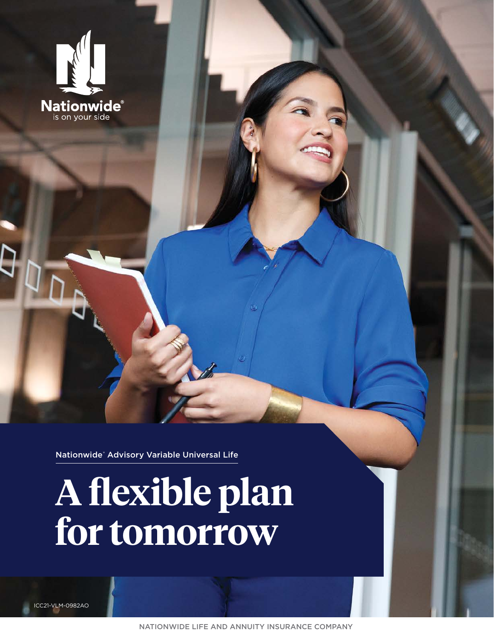

Nationwide® Advisory Variable Universal Life

**A flexible plan for tomorrow**

Nationwide is on your side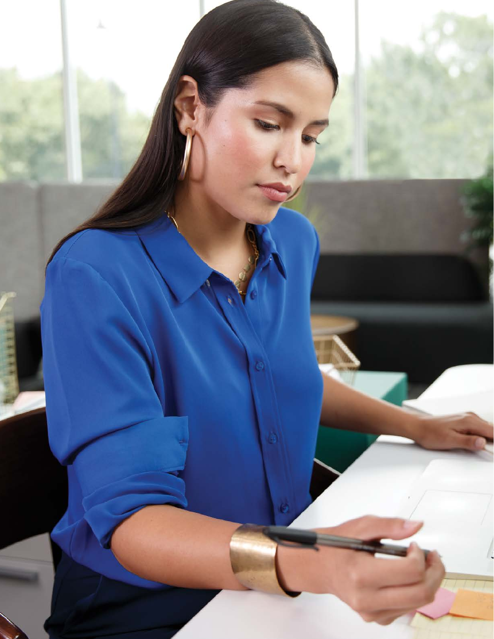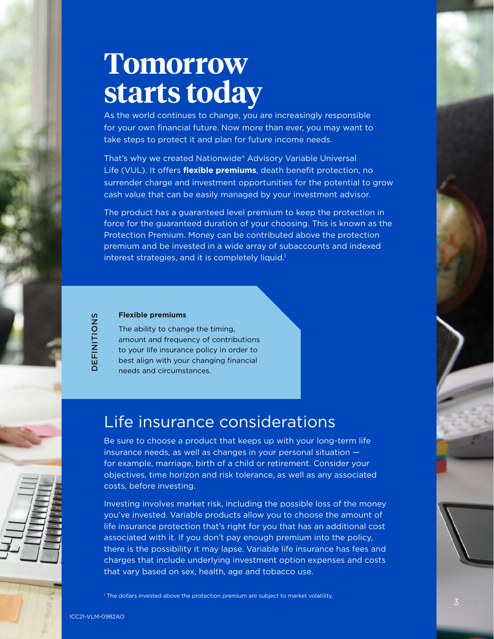## **Tomorrow starts today**

As the world continues to change, you are increasingly responsible for your own financial future. Now more than ever, you may want to take steps to protect it and plan for future income needs.

That's why we created Nationwide® Advisory Variable Universal Life (VUL). It offers **flexible premiums**, death benefit protection, no surrender charge and investment opportunities for the potential to grow cash value that can be easily managed by your investment advisor.

The product has a guaranteed level premium to keep the protection in force for the guaranteed duration of your choosing. This is known as the Protection Premium. Money can be contributed above the protection premium and be invested in a wide array of subaccounts and indexed interest strategies, and it is completely liquid.<sup>1</sup>

#### **Flexible premiums**

The ability to change the timing, amount and frequency of contributions to your life insurance policy in order to best align with your changing financial needs and circumstances.

### Life insurance considerations

Be sure to choose a product that keeps up with your long-term life insurance needs, as well as changes in your personal situation for example, marriage, birth of a child or retirement. Consider your objectives, time horizon and risk tolerance, as well as any associated costs, before investing.

Investing involves market risk, including the possible loss of the money you've invested. Variable products allow you to choose the amount of life insurance protection that's right for you that has an additional cost associated with it. If you don't pay enough premium into the policy, there is the possibility it may lapse. Variable life insurance has fees and charges that include underlying investment option expenses and costs that vary based on sex, health, age and tobacco use.

<span id="page-2-0"></span>1 The dollars invested above the protection premium are subject to market volatility.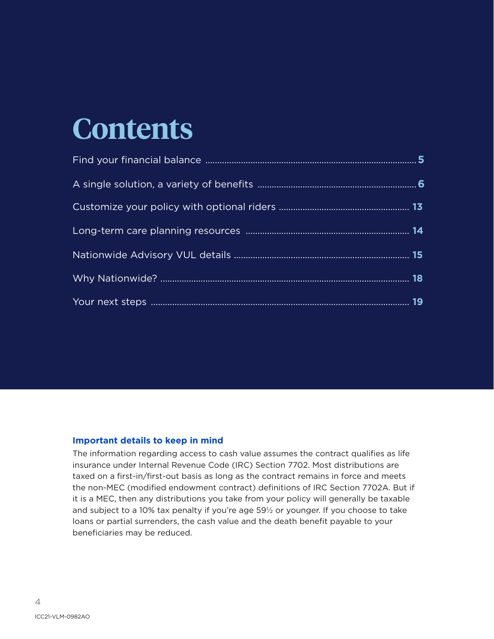# **Contents**

#### **Important details to keep in mind**

The information regarding access to cash value assumes the contract qualifies as life insurance under Internal Revenue Code (IRC) Section 7702. Most distributions are taxed on a first-in/first-out basis as long as the contract remains in force and meets the non-MEC (modified endowment contract) definitions of IRC Section 7702A. But if it is a MEC, then any distributions you take from your policy will generally be taxable and subject to a 10% tax penalty if you're age 59½ or younger. If you choose to take loans or partial surrenders, the cash value and the death benefit payable to your beneficiaries may be reduced.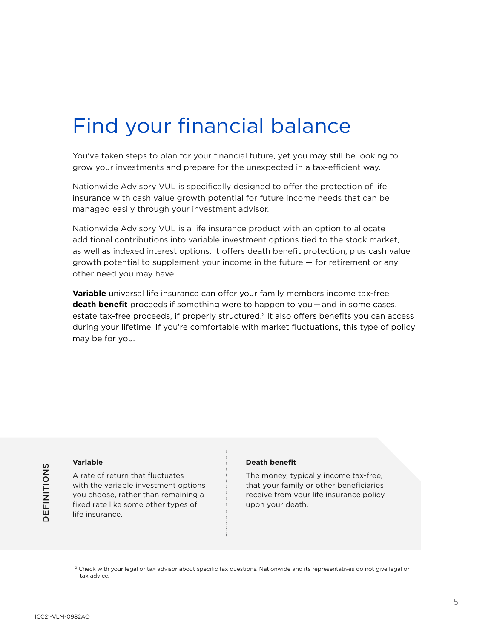## <span id="page-4-0"></span>Find your financial balance

You've taken steps to plan for your financial future, yet you may still be looking to grow your investments and prepare for the unexpected in a tax-efficient way.

Nationwide Advisory VUL is specifically designed to offer the protection of life insurance with cash value growth potential for future income needs that can be managed easily through your investment advisor.

Nationwide Advisory VUL is a life insurance product with an option to allocate additional contributions into variable investment options tied to the stock market, as well as indexed interest options. It offers death benefit protection, plus cash value growth potential to supplement your income in the future — for retirement or any other need you may have.

**Variable** universal life insurance can offer your family members income tax-free **death benefit** proceeds if something were to happen to you — and in some cases, estate tax-free proceeds, if properly structured.<sup>[2](#page-4-1)</sup> It also offers benefits you can access during your lifetime. If you're comfortable with market fluctuations, this type of policy may be for you.

#### **Variable**

A rate of return that fluctuates with the variable investment options you choose, rather than remaining a fixed rate like some other types of life insurance.

#### **Death benefit**

The money, typically income tax-free, that your family or other beneficiaries receive from your life insurance policy upon your death.

<span id="page-4-1"></span><sup>2</sup> Check with your legal or tax advisor about specific tax questions. Nationwide and its representatives do not give legal or tax advice.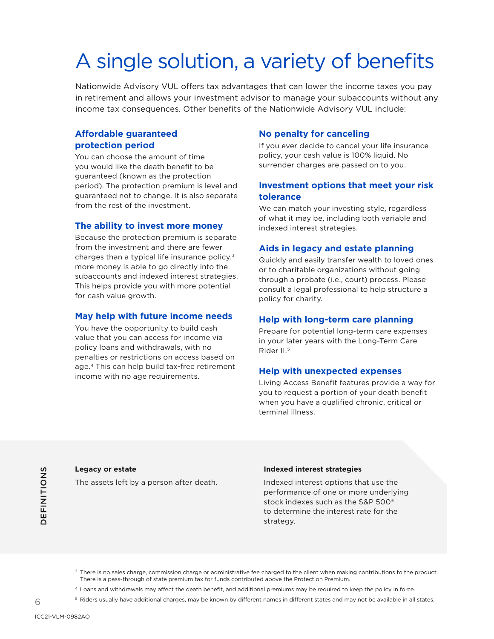## <span id="page-5-0"></span>A single solution, a variety of benefits

Nationwide Advisory VUL offers tax advantages that can lower the income taxes you pay in retirement and allows your investment advisor to manage your subaccounts without any income tax consequences. Other benefits of the Nationwide Advisory VUL include:

#### **Affordable guaranteed protection period**

You can choose the amount of time you would like the death benefit to be guaranteed (known as the protection period). The protection premium is level and guaranteed not to change. It is also separate from the rest of the investment.

#### **The ability to invest more money**

Because the protection premium is separate from the investment and there are fewer charges than a typical life insurance policy, $3$ more money is able to go directly into the subaccounts and indexed interest strategies. This helps provide you with more potential for cash value growth.

#### **May help with future income needs**

You have the opportunity to build cash value that you can access for income via policy loans and withdrawals, with no penalties or restrictions on access based on age[.4](#page-5-2) This can help build tax-free retirement income with no age requirements.

#### **No penalty for canceling**

If you ever decide to cancel your life insurance policy, your cash value is 100% liquid. No surrender charges are passed on to you.

#### **Investment options that meet your risk tolerance**

We can match your investing style, regardless of what it may be, including both variable and indexed interest strategies.

#### **Aids in legacy and estate planning**

Quickly and easily transfer wealth to loved ones or to charitable organizations without going through a probate (i.e., court) process. Please consult a legal professional to help structure a policy for charity.

#### **Help with long-term care planning**

Prepare for potential long-term care expenses in your later years with the Long-Term Care Rider II.[5](#page-5-3)

#### **Help with unexpected expenses**

Living Access Benefit features provide a way for you to request a portion of your death benefit when you have a qualified chronic, critical or terminal illness.

#### **Legacy or estate**

The assets left by a person after death.

#### **Indexed interest strategies**

Indexed interest options that use the performance of one or more underlying stock indexes such as the S&P 500® to determine the interest rate for the strategy.

- <span id="page-5-1"></span><sup>3</sup> There is no sales charge, commission charge or administrative fee charged to the client when making contributions to the product. There is a pass-through of state premium tax for funds contributed above the Protection Premium.
- <span id="page-5-2"></span><sup>4</sup> Loans and withdrawals may affect the death benefit, and additional premiums may be required to keep the policy in force.
- <span id="page-5-3"></span><sup>5</sup> Riders usually have additional charges, may be known by different names in different states and may not be available in all states.

DEFINITIONS

DEFINITIONS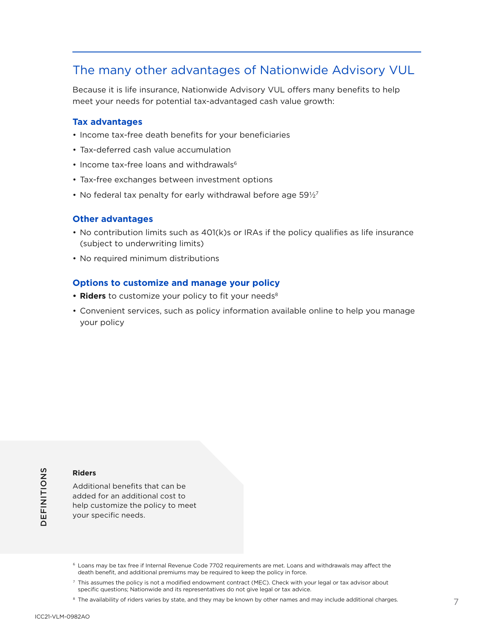#### The many other advantages of Nationwide Advisory VUL

Because it is life insurance, Nationwide Advisory VUL offers many benefits to help meet your needs for potential tax-advantaged cash value growth:

#### **Tax advantages**

- Income tax-free death benefits for your beneficiaries
- Tax-deferred cash value accumulation
- $\cdot$  Income tax-free loans and withdrawals<sup>6</sup>
- Tax-free exchanges between investment options
- No federal tax penalty for early withdrawal before age  $59\frac{1}{2}$

#### **Other advantages**

- No contribution limits such as 401(k)s or IRAs if the policy qualifies as life insurance (subject to underwriting limits)
- No required minimum distributions

#### **Options to customize and manage your policy**

- Riders to customize your policy to fit your needs<sup>8</sup>
- Convenient services, such as policy information available online to help you manage your policy

#### **Riders**

Additional benefits that can be added for an additional cost to help customize the policy to meet your specific needs.

<span id="page-6-2"></span><span id="page-6-1"></span> $^7$  This assumes the policy is not a modified endowment contract (MEC). Check with your legal or tax advisor about specific questions; Nationwide and its representatives do not give legal or tax advice.

<span id="page-6-0"></span><sup>6</sup> Loans may be tax free if Internal Revenue Code 7702 requirements are met. Loans and withdrawals may affect the death benefit, and additional premiums may be required to keep the policy in force.

 $^{\circ}$  The availability of riders varies by state, and they may be known by other names and may include additional charges.  $7$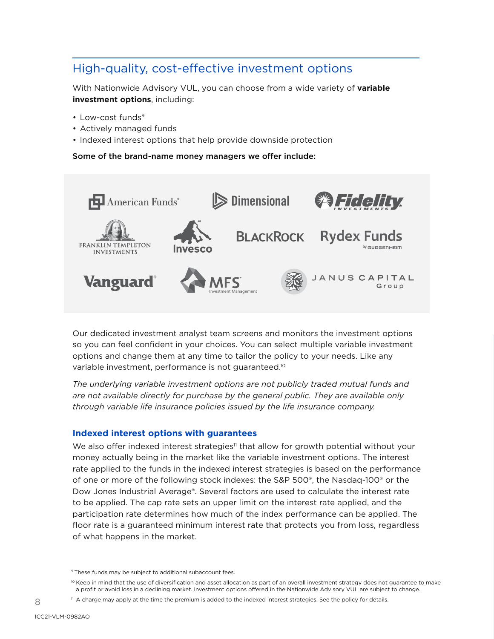#### High-quality, cost-effective investment options

With Nationwide Advisory VUL, you can choose from a wide variety of **variable investment options**, including:

- Low-cost funds<sup>9</sup>
- Actively managed funds
- Indexed interest options that help provide downside protection

#### Some of the brand-name money managers we offer include:



Our dedicated investment analyst team screens and monitors the investment options so you can feel confident in your choices. You can select multiple variable investment options and change them at any time to tailor the policy to your needs. Like any variable investment, performance is not guaranteed.<sup>10</sup>

*The underlying variable investment options are not publicly traded mutual funds and are not available directly for purchase by the general public. They are available only through variable life insurance policies issued by the life insurance company.*

#### **Indexed interest options with guarantees**

We also offer indexed interest strategies<sup>11</sup> that allow for growth potential without your money actually being in the market like the variable investment options. The interest rate applied to the funds in the indexed interest strategies is based on the performance of one or more of the following stock indexes: the S&P 500®, the Nasdaq-100® or the Dow Jones Industrial Average®. Several factors are used to calculate the interest rate to be applied. The cap rate sets an upper limit on the interest rate applied, and the participation rate determines how much of the index performance can be applied. The floor rate is a guaranteed minimum interest rate that protects you from loss, regardless of what happens in the market.

<span id="page-7-2"></span><span id="page-7-1"></span><sup>10</sup> Keep in mind that the use of diversification and asset allocation as part of an overall investment strategy does not guarantee to make a profit or avoid loss in a declining market. Investment options offered in the Nationwide Advisory VUL are subject to change.

<span id="page-7-0"></span><sup>&</sup>lt;sup>9</sup> These funds may be subject to additional subaccount fees.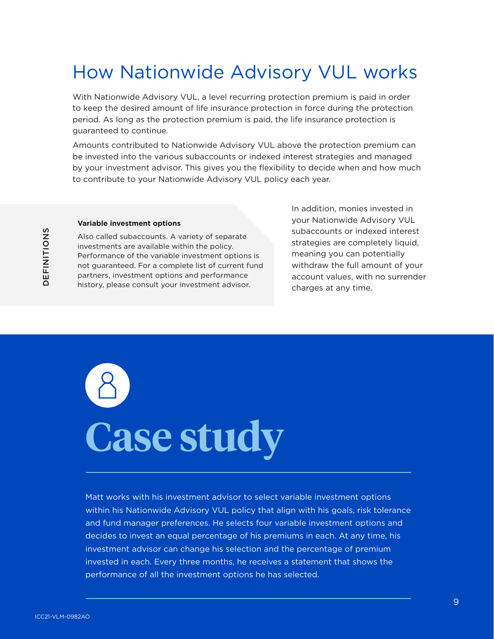## How Nationwide Advisory VUL works

With Nationwide Advisory VUL, a level recurring protection premium is paid in order to keep the desired amount of life insurance protection in force during the protection period. As long as the protection premium is paid, the life insurance protection is guaranteed to continue.

Amounts contributed to Nationwide Advisory VUL above the protection premium can be invested into the various subaccounts or indexed interest strategies and managed by your investment advisor. This gives you the flexibility to decide when and how much to contribute to your Nationwide Advisory VUL policy each year.

#### **Variable investment options**

Solutions and this sinverse that the part of the state of the state of the state of the state of the state of the state of the state of the state of the state of the state of the state of the state of the state of the stat Also called subaccounts. A variety of separate investments are available within the policy. Performance of the variable investment options is not guaranteed. For a complete list of current fund partners, investment options and performance history, please consult your investment advisor.

In addition, monies invested in your Nationwide Advisory VUL subaccounts or indexed interest strategies are completely liquid, meaning you can potentially withdraw the full amount of your account values, with no surrender charges at any time.

**Case study**

Matt works with his investment advisor to select variable investment options within his Nationwide Advisory VUL policy that align with his goals, risk tolerance and fund manager preferences. He selects four variable investment options and decides to invest an equal percentage of his premiums in each. At any time, his investment advisor can change his selection and the percentage of premium invested in each. Every three months, he receives a statement that shows the performance of all the investment options he has selected.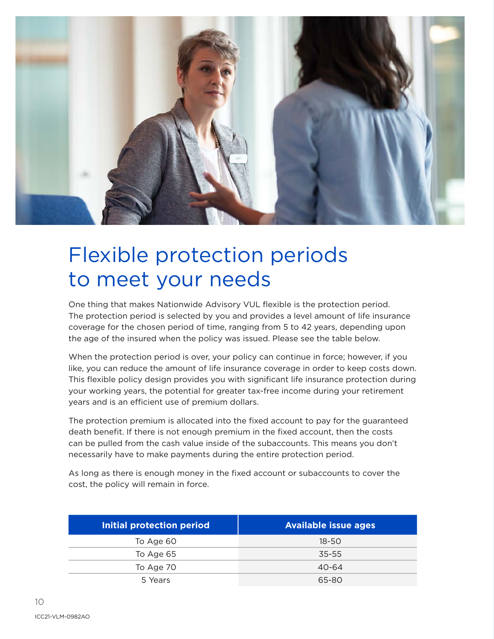

## Flexible protection periods to meet your needs

One thing that makes Nationwide Advisory VUL flexible is the protection period. The protection period is selected by you and provides a level amount of life insurance coverage for the chosen period of time, ranging from 5 to 42 years, depending upon the age of the insured when the policy was issued. Please see the table below.

When the protection period is over, your policy can continue in force; however, if you like, you can reduce the amount of life insurance coverage in order to keep costs down. This flexible policy design provides you with significant life insurance protection during your working years, the potential for greater tax-free income during your retirement years and is an efficient use of premium dollars.

The protection premium is allocated into the fixed account to pay for the guaranteed death benefit. If there is not enough premium in the fixed account, then the costs can be pulled from the cash value inside of the subaccounts. This means you don't necessarily have to make payments during the entire protection period.

As long as there is enough money in the fixed account or subaccounts to cover the cost, the policy will remain in force.

| Initial protection period | <b>Available issue ages</b> |
|---------------------------|-----------------------------|
| To Age 60                 | $18 - 50$                   |
| To Age 65                 | 35-55                       |
| To Age 70                 | $40 - 64$                   |
| 5 Years                   | 65-80                       |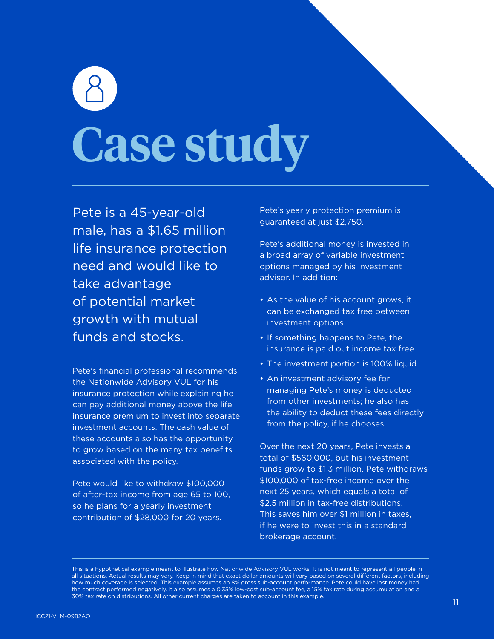# **Case study**

Pete is a 45-year-old male, has a \$1.65 million life insurance protection need and would like to take advantage of potential market growth with mutual funds and stocks.

Pete's financial professional recommends the Nationwide Advisory VUL for his insurance protection while explaining he can pay additional money above the life insurance premium to invest into separate investment accounts. The cash value of these accounts also has the opportunity to grow based on the many tax benefits associated with the policy.

Pete would like to withdraw \$100,000 of after-tax income from age 65 to 100, so he plans for a yearly investment contribution of \$28,000 for 20 years.

Pete's yearly protection premium is guaranteed at just \$2,750.

Pete's additional money is invested in a broad array of variable investment options managed by his investment advisor. In addition:

- As the value of his account grows, it can be exchanged tax free between investment options
- If something happens to Pete, the insurance is paid out income tax free
- The investment portion is 100% liquid
- An investment advisory fee for managing Pete's money is deducted from other investments; he also has the ability to deduct these fees directly from the policy, if he chooses

Over the next 20 years, Pete invests a total of \$560,000, but his investment funds grow to \$1.3 million. Pete withdraws \$100,000 of tax-free income over the next 25 years, which equals a total of \$2.5 million in tax-free distributions. This saves him over \$1 million in taxes, if he were to invest this in a standard brokerage account.

This is a hypothetical example meant to illustrate how Nationwide Advisory VUL works. It is not meant to represent all people in all situations. Actual results may vary. Keep in mind that exact dollar amounts will vary based on several different factors, including how much coverage is selected. This example assumes an 8% gross sub-account performance. Pete could have lost money had the contract performed negatively. It also assumes a 0.35% low-cost sub-account fee, a 15% tax rate during accumulation and a 30% tax rate on distributions. All other current charges are taken to account in this example.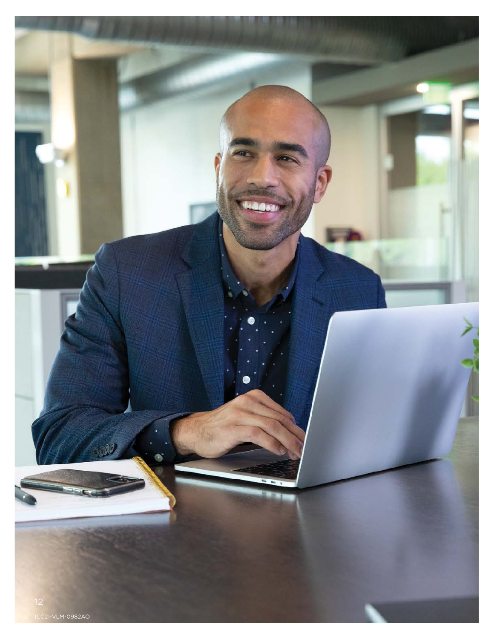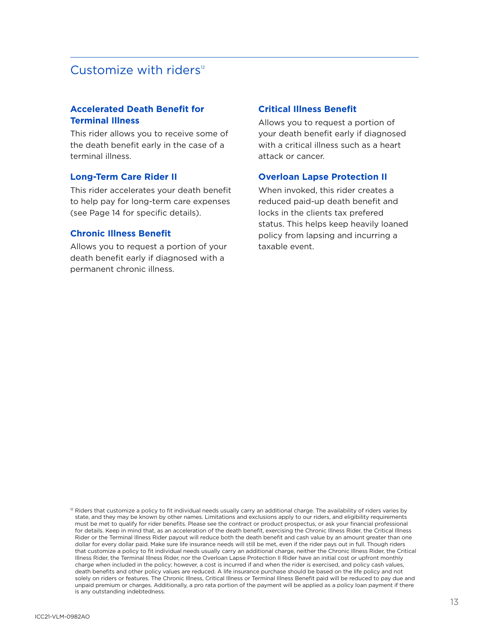#### <span id="page-12-0"></span>Customize with riders $12$

#### **Accelerated Death Benefit for Terminal Illness**

This rider allows you to receive some of the death benefit early in the case of a terminal illness.

#### **Long-Term Care Rider II**

This rider accelerates your death benefit to help pay for long-term care expenses [\(see Page 14 for specific details\).](#page-13-0)

#### **Chronic Illness Benefit**

Allows you to request a portion of your death benefit early if diagnosed with a permanent chronic illness.

#### **Critical Illness Benefit**

Allows you to request a portion of your death benefit early if diagnosed with a critical illness such as a heart attack or cancer.

#### **Overloan Lapse Protection II**

When invoked, this rider creates a reduced paid-up death benefit and locks in the clients tax prefered status. This helps keep heavily loaned policy from lapsing and incurring a taxable event.

<span id="page-12-1"></span><sup>&</sup>lt;sup>12</sup> Riders that customize a policy to fit individual needs usually carry an additional charge. The availability of riders varies by state, and they may be known by other names. Limitations and exclusions apply to our riders, and eligibility requirements must be met to qualify for rider benefits. Please see the contract or product prospectus, or ask your financial professional for details. Keep in mind that, as an acceleration of the death benefit, exercising the Chronic Illness Rider, the Critical Illness Rider or the Terminal Illness Rider payout will reduce both the death benefit and cash value by an amount greater than one dollar for every dollar paid. Make sure life insurance needs will still be met, even if the rider pays out in full. Though riders that customize a policy to fit individual needs usually carry an additional charge, neither the Chronic Illness Rider, the Critical Illness Rider, the Terminal Illness Rider, nor the Overloan Lapse Protection II Rider have an initial cost or upfront monthly charge when included in the policy; however, a cost is incurred if and when the rider is exercised, and policy cash values, death benefits and other policy values are reduced. A life insurance purchase should be based on the life policy and not solely on riders or features. The Chronic Illness, Critical Illness or Terminal Illness Benefit paid will be reduced to pay due and unpaid premium or charges. Additionally, a pro rata portion of the payment will be applied as a policy loan payment if there is any outstanding indebtedness.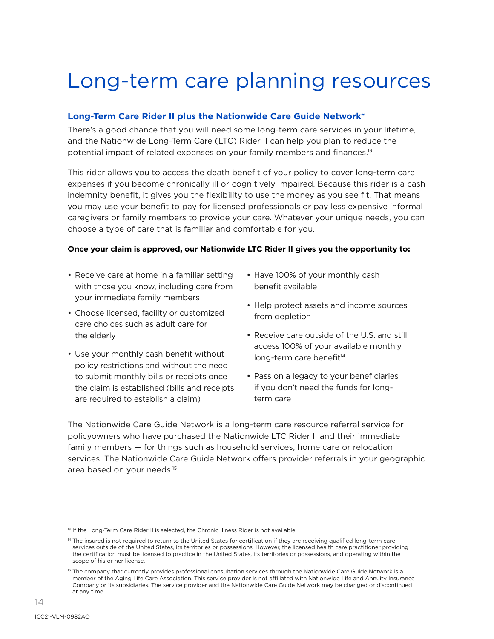## <span id="page-13-0"></span>Long-term care planning resources

#### **Long-Term Care Rider II plus the Nationwide Care Guide Network®**

There's a good chance that you will need some long-term care services in your lifetime, and the Nationwide Long-Term Care (LTC) Rider II can help you plan to reduce the potential impact of related expenses on your family members and finances[.13](#page-13-1)

This rider allows you to access the death benefit of your policy to cover long-term care expenses if you become chronically ill or cognitively impaired. Because this rider is a cash indemnity benefit, it gives you the flexibility to use the money as you see fit. That means you may use your benefit to pay for licensed professionals or pay less expensive informal caregivers or family members to provide your care. Whatever your unique needs, you can choose a type of care that is familiar and comfortable for you.

#### **Once your claim is approved, our Nationwide LTC Rider II gives you the opportunity to:**

- Receive care at home in a familiar setting with those you know, including care from your immediate family members
- Choose licensed, facility or customized care choices such as adult care for the elderly
- Use your monthly cash benefit without policy restrictions and without the need to submit monthly bills or receipts once the claim is established (bills and receipts are required to establish a claim)
- Have 100% of your monthly cash benefit available
- Help protect assets and income sources from depletion
- Receive care outside of the U.S. and still access 100% of your available monthly  $long-term$  care benefit $14$
- Pass on a legacy to your beneficiaries if you don't need the funds for longterm care

The Nationwide Care Guide Network is a long-term care resource referral service for policyowners who have purchased the Nationwide LTC Rider II and their immediate family members — for things such as household services, home care or relocation services. The Nationwide Care Guide Network offers provider referrals in your geographic area based on your needs.<sup>15</sup>

14

<span id="page-13-1"></span><sup>&</sup>lt;sup>13</sup> If the Long-Term Care Rider II is selected, the Chronic Illness Rider is not available.

<span id="page-13-2"></span><sup>14</sup> The insured is not required to return to the United States for certification if they are receiving qualified long-term care services outside of the United States, its territories or possessions. However, the licensed health care practitioner providing the certification must be licensed to practice in the United States, its territories or possessions, and operating within the scope of his or her license.

<sup>&</sup>lt;sup>15</sup> The company that currently provides professional consultation services through the Nationwide Care Guide Network is a member of the Aging Life Care Association. This service provider is not affiliated with Nationwide Life and Annuity Insurance Company or its subsidiaries. The service provider and the Nationwide Care Guide Network may be changed or discontinued at any time.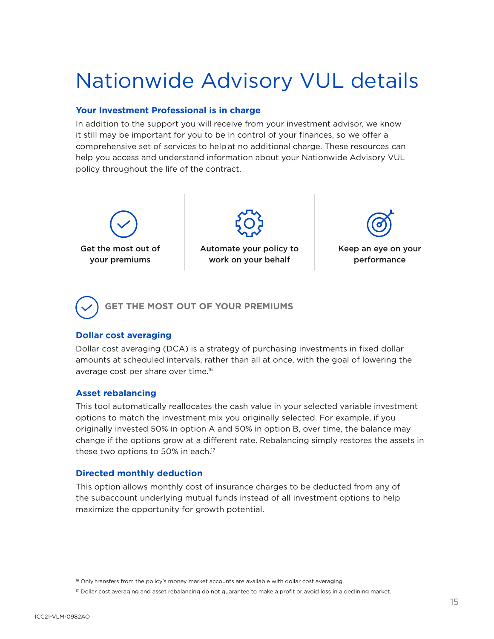## <span id="page-14-0"></span>Nationwide Advisory VUL details

#### **Your Investment Professional is in charge**

In addition to the support you will receive from your investment advisor, we know it still may be important for you to be in control of your finances, so we offer a comprehensive set of services to help at no additional charge. These resources can help you access and understand information about your Nationwide Advisory VUL policy throughout the life of the contract.



Automate your policy to work on your behalf



Keep an eye on your performance

**GET THE MOST OUT OF YOUR PREMIUMS**

#### **Dollar cost averaging**

Dollar cost averaging (DCA) is a strategy of purchasing investments in fixed dollar amounts at scheduled intervals, rather than all at once, with the goal of lowering the average cost per share over time.16

#### **Asset rebalancing**

This tool automatically reallocates the cash value in your selected variable investment options to match the investment mix you originally selected. For example, if you originally invested 50% in option A and 50% in option B, over time, the balance may change if the options grow at a different rate. Rebalancing simply restores the assets in these two options to 50% in each.<sup>17</sup>

#### **Directed monthly deduction**

This option allows monthly cost of insurance charges to be deducted from any of the subaccount underlying mutual funds instead of all investment options to help maximize the opportunity for growth potential.

<sup>16</sup> Only transfers from the policy's money market accounts are available with dollar cost averaging.

<span id="page-14-1"></span> $17$  Dollar cost averaging and asset rebalancing do not guarantee to make a profit or avoid loss in a declining market.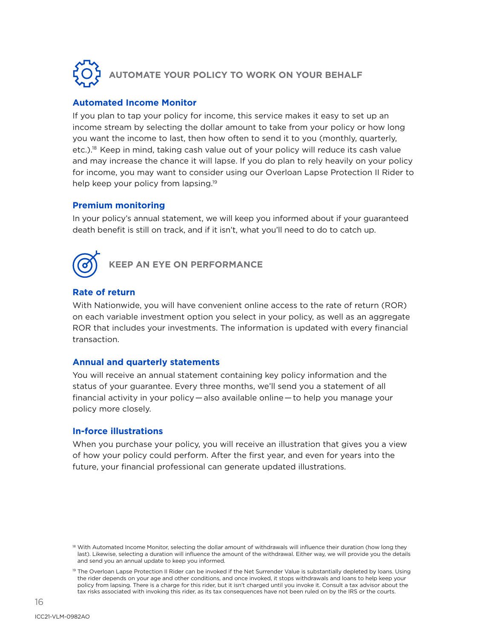

#### **Automated Income Monitor**

If you plan to tap your policy for income, this service makes it easy to set up an income stream by selecting the dollar amount to take from your policy or how long you want the income to last, then how often to send it to you (monthly, quarterly, etc.).<sup>18</sup> Keep in mind, taking cash value out of your policy will reduce its cash value and may increase the chance it will lapse. If you do plan to rely heavily on your policy for income, you may want to consider using our Overloan Lapse Protection II Rider to help keep your policy from lapsing.<sup>19</sup>

#### **Premium monitoring**

In your policy's annual statement, we will keep you informed about if your guaranteed death benefit is still on track, and if it isn't, what you'll need to do to catch up.



**KEEP AN EYE ON PERFORMANCE**

#### **Rate of return**

With Nationwide, you will have convenient online access to the rate of return (ROR) on each variable investment option you select in your policy, as well as an aggregate ROR that includes your investments. The information is updated with every financial transaction.

#### **Annual and quarterly statements**

You will receive an annual statement containing key policy information and the status of your guarantee. Every three months, we'll send you a statement of all financial activity in your policy — also available online — to help you manage your policy more closely.

#### **In-force illustrations**

When you purchase your policy, you will receive an illustration that gives you a view of how your policy could perform. After the first year, and even for years into the future, your financial professional can generate updated illustrations.

16

<span id="page-15-0"></span><sup>18</sup> With Automated Income Monitor, selecting the dollar amount of withdrawals will influence their duration (how long they last). Likewise, selecting a duration will influence the amount of the withdrawal. Either way, we will provide you the details and send you an annual update to keep you informed.

<span id="page-15-1"></span><sup>19</sup> The Overloan Lapse Protection II Rider can be invoked if the Net Surrender Value is substantially depleted by loans. Using the rider depends on your age and other conditions, and once invoked, it stops withdrawals and loans to help keep your policy from lapsing. There is a charge for this rider, but it isn't charged until you invoke it. Consult a tax advisor about the tax risks associated with invoking this rider, as its tax consequences have not been ruled on by the IRS or the courts.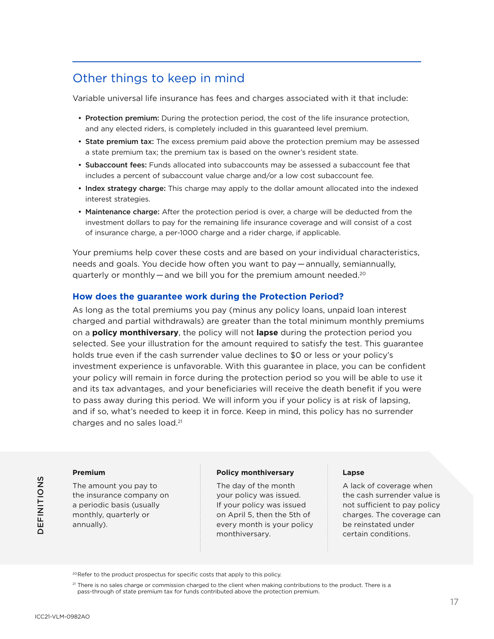#### Other things to keep in mind

Variable universal life insurance has fees and charges associated with it that include:

- Protection premium: During the protection period, the cost of the life insurance protection, and any elected riders, is completely included in this guaranteed level premium.
- State premium tax: The excess premium paid above the protection premium may be assessed a state premium tax; the premium tax is based on the owner's resident state.
- Subaccount fees: Funds allocated into subaccounts may be assessed a subaccount fee that includes a percent of subaccount value charge and/or a low cost subaccount fee.
- Index strategy charge: This charge may apply to the dollar amount allocated into the indexed interest strategies.
- Maintenance charge: After the protection period is over, a charge will be deducted from the investment dollars to pay for the remaining life insurance coverage and will consist of a cost of insurance charge, a per-1000 charge and a rider charge, if applicable.

Your premiums help cover these costs and are based on your individual characteristics, needs and goals. You decide how often you want to pay — annually, semiannually, quarterly or monthly — and we bill you for the premium amount needed.<sup>[20](#page-16-0)</sup>

#### **How does the guarantee work during the Protection Period?**

As long as the total premiums you pay (minus any policy loans, unpaid loan interest charged and partial withdrawals) are greater than the total minimum monthly premiums on a **policy monthiversary**, the policy will not **lapse** during the protection period you selected. See your illustration for the amount required to satisfy the test. This guarantee holds true even if the cash surrender value declines to \$0 or less or your policy's investment experience is unfavorable. With this guarantee in place, you can be confident your policy will remain in force during the protection period so you will be able to use it and its tax advantages,  and your beneficiaries will receive the death benefit if you were to pass away during this period. We will inform you if your policy is at risk of lapsing, and if so, what's needed to keep it in force. Keep in mind, this policy has no surrender charges and no sales load.[21](#page-16-1)

#### **Premium**

The amount you pay to the insurance company on a periodic basis (usually monthly, quarterly or annually).

#### **Policy monthiversary**

The day of the month your policy was issued. If your policy was issued on April 5, then the 5th of every month is your policy monthiversary.

#### **Lapse**

A lack of coverage when the cash surrender value is not sufficient to pay policy charges. The coverage can be reinstated under certain conditions.

<span id="page-16-0"></span><sup>20</sup> Refer to the product prospectus for specific costs that apply to this policy.

<span id="page-16-1"></span><sup>21</sup> There is no sales charge or commission charged to the client when making contributions to the product. There is a pass-through of state premium tax for funds contributed above the protection premium.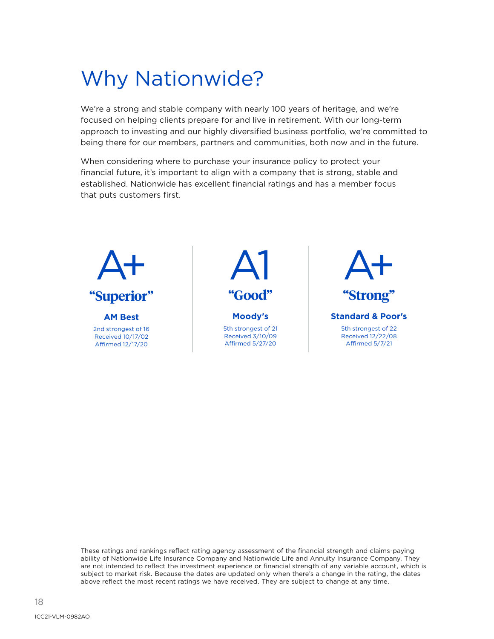## <span id="page-17-0"></span>Why Nationwide?

We're a strong and stable company with nearly 100 years of heritage, and we're focused on helping clients prepare for and live in retirement. With our long-term approach to investing and our highly diversified business portfolio, we're committed to being there for our members, partners and communities, both now and in the future.

When considering where to purchase your insurance policy to protect your financial future, it's important to align with a company that is strong, stable and established. Nationwide has excellent financial ratings and has a member focus that puts customers first.



These ratings and rankings reflect rating agency assessment of the financial strength and claims-paying ability of Nationwide Life Insurance Company and Nationwide Life and Annuity Insurance Company. They are not intended to reflect the investment experience or financial strength of any variable account, which is subject to market risk. Because the dates are updated only when there's a change in the rating, the dates above reflect the most recent ratings we have received. They are subject to change at any time.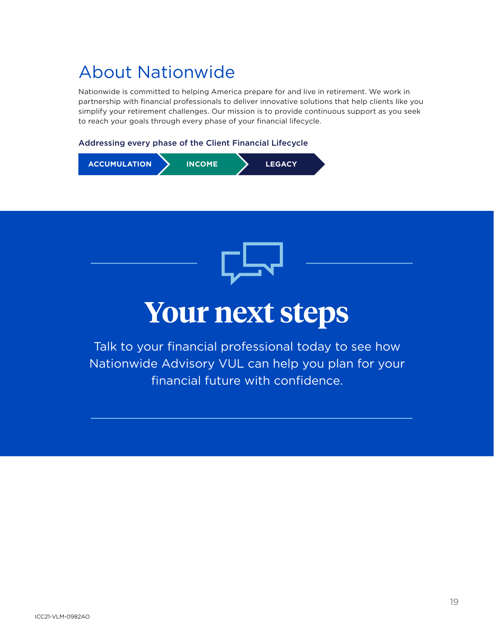## <span id="page-18-0"></span>About Nationwide

Nationwide is committed to helping America prepare for and live in retirement. We work in partnership with financial professionals to deliver innovative solutions that help clients like you simplify your retirement challenges. Our mission is to provide continuous support as you seek to reach your goals through every phase of your financial lifecycle.

#### Addressing every phase of the Client Financial Lifecycle





# **Your next steps**

Talk to your financial professional today to see how Nationwide Advisory VUL can help you plan for your financial future with confidence.